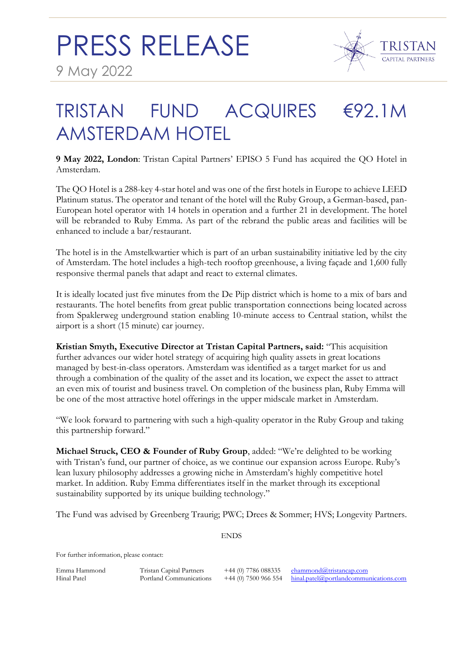

## TRISTAN FUND ACQUIRES €92.1M AMSTERDAM HOTEL

**9 May 2022, London**: Tristan Capital Partners' EPISO 5 Fund has acquired the QO Hotel in Amsterdam.

The QO Hotel is a 288-key 4-star hotel and was one of the first hotels in Europe to achieve LEED Platinum status. The operator and tenant of the hotel will the Ruby Group, a German-based, pan-European hotel operator with 14 hotels in operation and a further 21 in development. The hotel will be rebranded to Ruby Emma. As part of the rebrand the public areas and facilities will be enhanced to include a bar/restaurant.

The hotel is in the Amstelkwartier which is part of an urban sustainability initiative led by the city of Amsterdam. The hotel includes a high-tech rooftop greenhouse, a living façade and 1,600 fully responsive thermal panels that adapt and react to external climates.

It is ideally located just five minutes from the De Pijp district which is home to a mix of bars and restaurants. The hotel benefits from great public transportation connections being located across from Spaklerweg underground station enabling 10-minute access to Centraal station, whilst the airport is a short (15 minute) car journey.

**Kristian Smyth, Executive Director at Tristan Capital Partners, said:** "This acquisition further advances our wider hotel strategy of acquiring high quality assets in great locations managed by best-in-class operators. Amsterdam was identified as a target market for us and through a combination of the quality of the asset and its location, we expect the asset to attract an even mix of tourist and business travel. On completion of the business plan, Ruby Emma will be one of the most attractive hotel offerings in the upper midscale market in Amsterdam.

"We look forward to partnering with such a high-quality operator in the Ruby Group and taking this partnership forward."

**Michael Struck, CEO & Founder of Ruby Group**, added: "We're delighted to be working with Tristan's fund, our partner of choice, as we continue our expansion across Europe. Ruby's lean luxury philosophy addresses a growing niche in Amsterdam's highly competitive hotel market. In addition. Ruby Emma differentiates itself in the market through its exceptional sustainability supported by its unique building technology."

The Fund was advised by Greenberg Traurig; PWC; Drees & Sommer; HVS; Longevity Partners.

ENDS

For further information, please contact:

Emma Hammond Tristan Capital Partners +44 (0) 7786 088335 **[ehammond@tristancap.com](mailto:ehammond@tristancap.com)**<br>
Hinal Patel Portland Communications +44 (0) 7500 966 554 hinal.patel@portlandcommu

Hinal Patel Portland Communications +44 (0) 7500 966 554 [hinal.patel@portlandcommunications.com](mailto:hinal.patel@portlandcommunications.com)